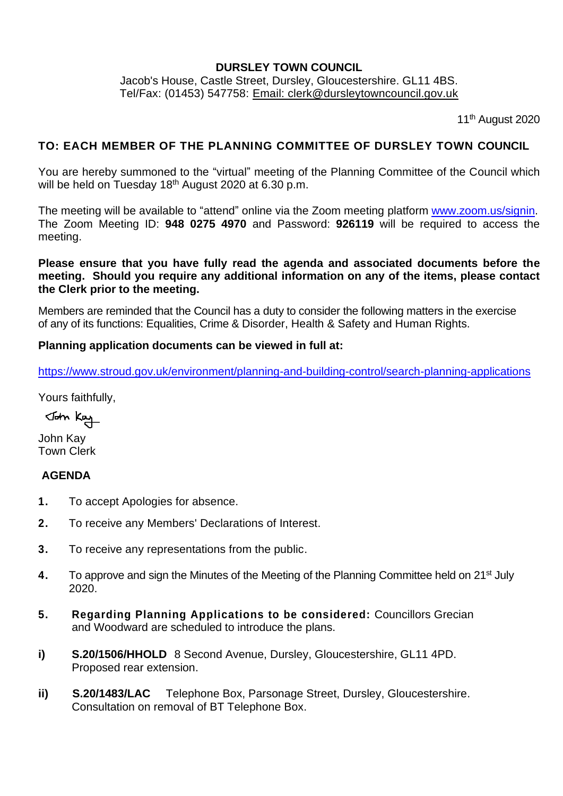## **DURSLEY TOWN COUNCIL**

Jacob's House, Castle Street, Dursley, Gloucestershire. GL11 4BS. Tel/Fax: (01453) 547758: [Email: clerk@dursleytowncouncil.gov.uk](mailto:clerk@dursleytowncouncil.gov.uk)

11<sup>th</sup> August 2020

## **TO: EACH MEMBER OF THE PLANNING COMMITTEE OF DURSLEY TOWN COUNCIL**

You are hereby summoned to the "virtual" meeting of the Planning Committee of the Council which will be held on Tuesday 18<sup>th</sup> August 2020 at 6.30 p.m.

The meeting will be available to "attend" online via the Zoom meeting platform [www.zoom.us/signin.](http://www.zoom.us/signin) The Zoom Meeting ID: **948 0275 4970** and Password: **926119** will be required to access the meeting.

## **Please ensure that you have fully read the agenda and associated documents before the meeting. Should you require any additional information on any of the items, please contact the Clerk prior to the meeting.**

Members are reminded that the Council has a duty to consider the following matters in the exercise of any of its functions: Equalities, Crime & Disorder, Health & Safety and Human Rights.

#### **Planning application documents can be viewed in full at:**

<https://www.stroud.gov.uk/environment/planning-and-building-control/search-planning-applications>

Yours faithfully,

John Kay

John Kay Town Clerk

## **AGENDA**

- **1.** To accept Apologies for absence.
- **2.** To receive any Members' Declarations of Interest.
- **3.** To receive any representations from the public.
- **4.** To approve and sign the Minutes of the Meeting of the Planning Committee held on 21<sup>st</sup> July 2020.
- **5. Regarding Planning Applications to be considered:** Councillors Grecian and Woodward are scheduled to introduce the plans.
- **i) S.20/1506/HHOLD** 8 Second Avenue, Dursley, Gloucestershire, GL11 4PD. Proposed rear extension.
- **ii) S.20/1483/LAC** Telephone Box, Parsonage Street, Dursley, Gloucestershire. Consultation on removal of BT Telephone Box.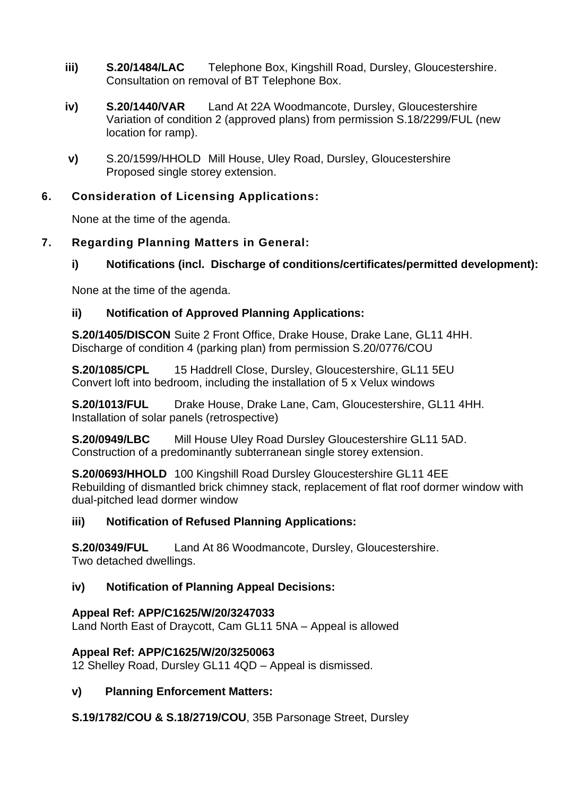- **iii) S.20/1484/LAC** Telephone Box, Kingshill Road, Dursley, Gloucestershire. Consultation on removal of BT Telephone Box.
- **iv) S.20/1440/VAR** Land At 22A Woodmancote, Dursley, Gloucestershire Variation of condition 2 (approved plans) from permission S.18/2299/FUL (new location for ramp).
- **v)** S.20/1599/HHOLD Mill House, Uley Road, Dursley, Gloucestershire Proposed single storey extension.

## **6. Consideration of Licensing Applications:**

None at the time of the agenda.

## **7. Regarding Planning Matters in General:**

# **i) Notifications (incl. Discharge of conditions/certificates/permitted development):**

None at the time of the agenda.

## **ii) Notification of Approved Planning Applications:**

**S.20/1405/DISCON** Suite 2 Front Office, Drake House, Drake Lane, GL11 4HH. Discharge of condition 4 (parking plan) from permission S.20/0776/COU

**S.20/1085/CPL** 15 Haddrell Close, Dursley, Gloucestershire, GL11 5EU Convert loft into bedroom, including the installation of 5 x Velux windows

**S.20/1013/FUL** Drake House, Drake Lane, Cam, Gloucestershire, GL11 4HH. Installation of solar panels (retrospective)

**S.20/0949/LBC** Mill House Uley Road Dursley Gloucestershire GL11 5AD. Construction of a predominantly subterranean single storey extension.

**S.20/0693/HHOLD** 100 Kingshill Road Dursley Gloucestershire GL11 4EE Rebuilding of dismantled brick chimney stack, replacement of flat roof dormer window with dual-pitched lead dormer window

## **iii) Notification of Refused Planning Applications:**

**S.20/0349/FUL** Land At 86 Woodmancote, Dursley, Gloucestershire. Two detached dwellings.

## **iv) Notification of Planning Appeal Decisions:**

## **Appeal Ref: APP/C1625/W/20/3247033**

Land North East of Draycott, Cam GL11 5NA – Appeal is allowed

## **Appeal Ref: APP/C1625/W/20/3250063**

12 Shelley Road, Dursley GL11 4QD – Appeal is dismissed.

## **v) Planning Enforcement Matters:**

**S.19/1782/COU & S.18/2719/COU**, 35B Parsonage Street, Dursley